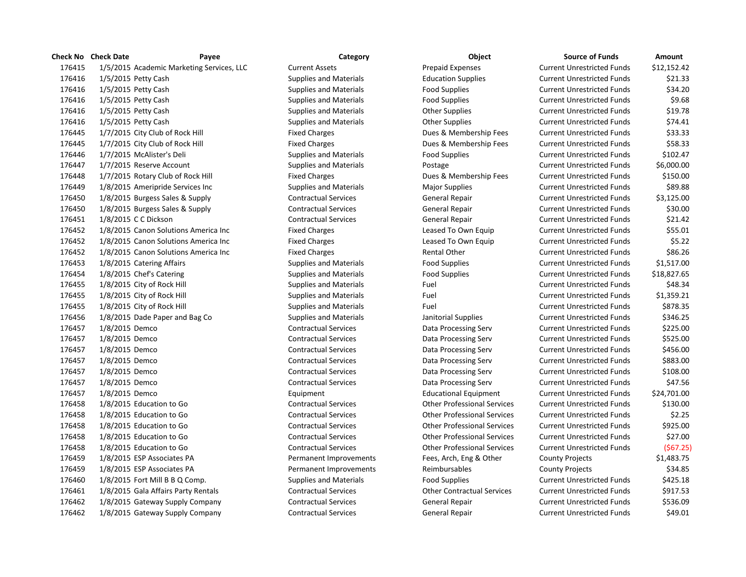|        | Check No Check Date        | Payee                                     | Category                      | <b>Object</b>                      | <b>Source of Funds</b>            | Amount      |
|--------|----------------------------|-------------------------------------------|-------------------------------|------------------------------------|-----------------------------------|-------------|
| 176415 |                            | 1/5/2015 Academic Marketing Services, LLC | <b>Current Assets</b>         | <b>Prepaid Expenses</b>            | <b>Current Unrestricted Funds</b> | \$12,152.42 |
| 176416 | 1/5/2015 Petty Cash        |                                           | <b>Supplies and Materials</b> | <b>Education Supplies</b>          | <b>Current Unrestricted Funds</b> | \$21.33     |
| 176416 | 1/5/2015 Petty Cash        |                                           | <b>Supplies and Materials</b> | <b>Food Supplies</b>               | <b>Current Unrestricted Funds</b> | \$34.20     |
| 176416 | 1/5/2015 Petty Cash        |                                           | <b>Supplies and Materials</b> | <b>Food Supplies</b>               | <b>Current Unrestricted Funds</b> | \$9.68      |
| 176416 | 1/5/2015 Petty Cash        |                                           | <b>Supplies and Materials</b> | <b>Other Supplies</b>              | <b>Current Unrestricted Funds</b> | \$19.78     |
| 176416 | 1/5/2015 Petty Cash        |                                           | <b>Supplies and Materials</b> | <b>Other Supplies</b>              | <b>Current Unrestricted Funds</b> | \$74.41     |
| 176445 |                            | 1/7/2015 City Club of Rock Hill           | <b>Fixed Charges</b>          | Dues & Membership Fees             | <b>Current Unrestricted Funds</b> | \$33.33     |
| 176445 |                            | 1/7/2015 City Club of Rock Hill           | <b>Fixed Charges</b>          | Dues & Membership Fees             | <b>Current Unrestricted Funds</b> | \$58.33     |
| 176446 | 1/7/2015 McAlister's Deli  |                                           | <b>Supplies and Materials</b> | <b>Food Supplies</b>               | <b>Current Unrestricted Funds</b> | \$102.47    |
| 176447 | 1/7/2015 Reserve Account   |                                           | <b>Supplies and Materials</b> | Postage                            | <b>Current Unrestricted Funds</b> | \$6,000.00  |
| 176448 |                            | 1/7/2015 Rotary Club of Rock Hill         | <b>Fixed Charges</b>          | Dues & Membership Fees             | <b>Current Unrestricted Funds</b> | \$150.00    |
| 176449 |                            | 1/8/2015 Ameripride Services Inc          | <b>Supplies and Materials</b> | <b>Major Supplies</b>              | <b>Current Unrestricted Funds</b> | \$89.88     |
| 176450 |                            | 1/8/2015 Burgess Sales & Supply           | <b>Contractual Services</b>   | General Repair                     | <b>Current Unrestricted Funds</b> | \$3,125.00  |
| 176450 |                            | 1/8/2015 Burgess Sales & Supply           | <b>Contractual Services</b>   | General Repair                     | <b>Current Unrestricted Funds</b> | \$30.00     |
| 176451 | 1/8/2015 C C Dickson       |                                           | <b>Contractual Services</b>   | General Repair                     | <b>Current Unrestricted Funds</b> | \$21.42     |
| 176452 |                            | 1/8/2015 Canon Solutions America Inc      | <b>Fixed Charges</b>          | Leased To Own Equip                | <b>Current Unrestricted Funds</b> | \$55.01     |
| 176452 |                            | 1/8/2015 Canon Solutions America Inc      | <b>Fixed Charges</b>          | Leased To Own Equip                | <b>Current Unrestricted Funds</b> | \$5.22      |
| 176452 |                            | 1/8/2015 Canon Solutions America Inc      | <b>Fixed Charges</b>          | <b>Rental Other</b>                | <b>Current Unrestricted Funds</b> | \$86.26     |
| 176453 | 1/8/2015 Catering Affairs  |                                           | <b>Supplies and Materials</b> | <b>Food Supplies</b>               | <b>Current Unrestricted Funds</b> | \$1,517.00  |
| 176454 | 1/8/2015 Chef's Catering   |                                           | <b>Supplies and Materials</b> | <b>Food Supplies</b>               | <b>Current Unrestricted Funds</b> | \$18,827.65 |
| 176455 | 1/8/2015 City of Rock Hill |                                           | <b>Supplies and Materials</b> | Fuel                               | <b>Current Unrestricted Funds</b> | \$48.34     |
| 176455 | 1/8/2015 City of Rock Hill |                                           | <b>Supplies and Materials</b> | Fuel                               | <b>Current Unrestricted Funds</b> | \$1,359.21  |
| 176455 | 1/8/2015 City of Rock Hill |                                           | <b>Supplies and Materials</b> | Fuel                               | <b>Current Unrestricted Funds</b> | \$878.35    |
| 176456 |                            | 1/8/2015 Dade Paper and Bag Co            | <b>Supplies and Materials</b> | Janitorial Supplies                | <b>Current Unrestricted Funds</b> | \$346.25    |
| 176457 | 1/8/2015 Demco             |                                           | <b>Contractual Services</b>   | Data Processing Serv               | <b>Current Unrestricted Funds</b> | \$225.00    |
| 176457 | 1/8/2015 Demco             |                                           | <b>Contractual Services</b>   | Data Processing Serv               | <b>Current Unrestricted Funds</b> | \$525.00    |
| 176457 | 1/8/2015 Demco             |                                           | <b>Contractual Services</b>   | Data Processing Serv               | <b>Current Unrestricted Funds</b> | \$456.00    |
| 176457 | 1/8/2015 Demco             |                                           | <b>Contractual Services</b>   | Data Processing Serv               | <b>Current Unrestricted Funds</b> | \$883.00    |
| 176457 | 1/8/2015 Demco             |                                           | <b>Contractual Services</b>   | Data Processing Serv               | <b>Current Unrestricted Funds</b> | \$108.00    |
| 176457 | 1/8/2015 Demco             |                                           | <b>Contractual Services</b>   | Data Processing Serv               | <b>Current Unrestricted Funds</b> | \$47.56     |
| 176457 | 1/8/2015 Demco             |                                           | Equipment                     | <b>Educational Equipment</b>       | <b>Current Unrestricted Funds</b> | \$24,701.00 |
| 176458 | 1/8/2015 Education to Go   |                                           | <b>Contractual Services</b>   | <b>Other Professional Services</b> | <b>Current Unrestricted Funds</b> | \$130.00    |
| 176458 | 1/8/2015 Education to Go   |                                           | <b>Contractual Services</b>   | <b>Other Professional Services</b> | <b>Current Unrestricted Funds</b> | \$2.25      |
| 176458 | 1/8/2015 Education to Go   |                                           | <b>Contractual Services</b>   | <b>Other Professional Services</b> | <b>Current Unrestricted Funds</b> | \$925.00    |
| 176458 | 1/8/2015 Education to Go   |                                           | <b>Contractual Services</b>   | <b>Other Professional Services</b> | <b>Current Unrestricted Funds</b> | \$27.00     |
| 176458 | 1/8/2015 Education to Go   |                                           | <b>Contractual Services</b>   | <b>Other Professional Services</b> | <b>Current Unrestricted Funds</b> | (567.25     |
| 176459 |                            | 1/8/2015 ESP Associates PA                | Permanent Improvements        | Fees, Arch, Eng & Other            | <b>County Projects</b>            | \$1,483.75  |
| 176459 |                            | 1/8/2015 ESP Associates PA                | Permanent Improvements        | Reimbursables                      | <b>County Projects</b>            | \$34.85     |
| 176460 |                            | $1/8/2015$ Fort Mill B B Q Comp.          | <b>Supplies and Materials</b> | <b>Food Supplies</b>               | <b>Current Unrestricted Funds</b> | \$425.18    |
| 176461 |                            | 1/8/2015 Gala Affairs Party Rentals       | <b>Contractual Services</b>   | <b>Other Contractual Services</b>  | <b>Current Unrestricted Funds</b> | \$917.53    |
| 176462 |                            | 1/8/2015 Gateway Supply Company           | <b>Contractual Services</b>   | General Repair                     | <b>Current Unrestricted Funds</b> | \$536.09    |
| 176462 |                            | 1/8/2015 Gateway Supply Company           | <b>Contractual Services</b>   | General Repair                     | <b>Current Unrestricted Funds</b> | \$49.01     |

| <b>Source of Funds</b>     | Amount      |
|----------------------------|-------------|
| urrent Unrestricted Funds: | \$12,152.42 |
| Current Unrestricted Funds | \$21.33     |
| Current Unrestricted Funds | \$34.20     |
| Current Unrestricted Funds | \$9.68      |
| urrent Unrestricted Funds: | \$19.78     |
| urrent Unrestricted Funds: | \$74.41     |
| Current Unrestricted Funds | \$33.33     |
| Current Unrestricted Funds | \$58.33     |
| urrent Unrestricted Funds  | \$102.47    |
| Current Unrestricted Funds | \$6,000.00  |
| Current Unrestricted Funds | \$150.00    |
| Current Unrestricted Funds | \$89.88     |
| urrent Unrestricted Funds  | \$3,125.00  |
| Current Unrestricted Funds | \$30.00     |
| Current Unrestricted Funds | \$21.42     |
| urrent Unrestricted Funds  | \$55.01     |
| urrent Unrestricted Funds  | \$5.22      |
| Current Unrestricted Funds | \$86.26     |
| Current Unrestricted Funds | \$1,517.00  |
| Current Unrestricted Funds | \$18,827.65 |
| Current Unrestricted Funds | \$48.34     |
| Current Unrestricted Funds | \$1,359.21  |
| urrent Unrestricted Funds: | \$878.35    |
| Current Unrestricted Funds | \$346.25    |
| Current Unrestricted Funds | \$225.00    |
| Current Unrestricted Funds | \$525.00    |
| urrent Unrestricted Funds  | \$456.00    |
| Current Unrestricted Funds | \$883.00    |
| urrent Unrestricted Funds  | \$108.00    |
| urrent Unrestricted Funds  | \$47.56     |
| Current Unrestricted Funds | \$24,701.00 |
| Current Unrestricted Funds | \$130.00    |
| Current Unrestricted Funds | \$2.25      |
| urrent Unrestricted Funds  | \$925.00    |
| Current Unrestricted Funds | \$27.00     |
| Current Unrestricted Funds | (\$67.25    |
| <b>County Projects</b>     | \$1,483.75  |
| <b>County Projects</b>     | \$34.85     |
| urrent Unrestricted Funds: | \$425.18    |
| Current Unrestricted Funds | \$917.53    |
| urrent Unrestricted Funds  | \$536.09    |
| urrent Unrestricted Funds  | \$49.01     |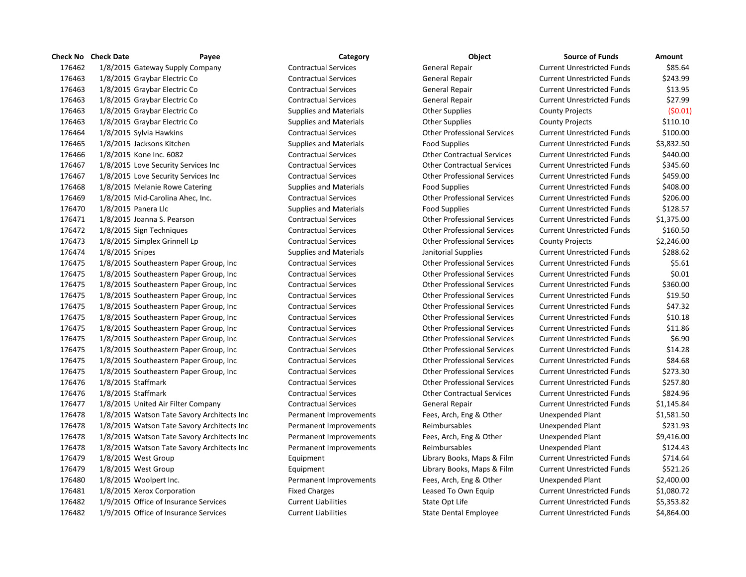|        | <b>Check No</b> Check Date<br>Payee        | Category                      | Object                             | <b>Source of Funds</b>            | <b>Amount</b> |
|--------|--------------------------------------------|-------------------------------|------------------------------------|-----------------------------------|---------------|
| 176462 | 1/8/2015 Gateway Supply Company            | <b>Contractual Services</b>   | General Repair                     | <b>Current Unrestricted Funds</b> | \$85.64       |
| 176463 | 1/8/2015 Graybar Electric Co               | <b>Contractual Services</b>   | General Repair                     | <b>Current Unrestricted Funds</b> | \$243.99      |
| 176463 | 1/8/2015 Graybar Electric Co               | <b>Contractual Services</b>   | General Repair                     | <b>Current Unrestricted Funds</b> | \$13.95       |
| 176463 | 1/8/2015 Graybar Electric Co               | <b>Contractual Services</b>   | General Repair                     | <b>Current Unrestricted Funds</b> | \$27.99       |
| 176463 | 1/8/2015 Graybar Electric Co               | <b>Supplies and Materials</b> | <b>Other Supplies</b>              | <b>County Projects</b>            | (50.01)       |
| 176463 | 1/8/2015 Graybar Electric Co               | <b>Supplies and Materials</b> | <b>Other Supplies</b>              | <b>County Projects</b>            | \$110.10      |
| 176464 | 1/8/2015 Sylvia Hawkins                    | <b>Contractual Services</b>   | <b>Other Professional Services</b> | <b>Current Unrestricted Funds</b> | \$100.00      |
| 176465 | 1/8/2015 Jacksons Kitchen                  | <b>Supplies and Materials</b> | <b>Food Supplies</b>               | <b>Current Unrestricted Funds</b> | \$3,832.50    |
| 176466 | 1/8/2015 Kone Inc. 6082                    | <b>Contractual Services</b>   | <b>Other Contractual Services</b>  | <b>Current Unrestricted Funds</b> | \$440.00      |
| 176467 | 1/8/2015 Love Security Services Inc        | <b>Contractual Services</b>   | <b>Other Contractual Services</b>  | <b>Current Unrestricted Funds</b> | \$345.60      |
| 176467 | 1/8/2015 Love Security Services Inc        | <b>Contractual Services</b>   | <b>Other Professional Services</b> | <b>Current Unrestricted Funds</b> | \$459.00      |
| 176468 | 1/8/2015 Melanie Rowe Catering             | <b>Supplies and Materials</b> | <b>Food Supplies</b>               | <b>Current Unrestricted Funds</b> | \$408.00      |
| 176469 | 1/8/2015 Mid-Carolina Ahec, Inc.           | <b>Contractual Services</b>   | <b>Other Professional Services</b> | <b>Current Unrestricted Funds</b> | \$206.00      |
| 176470 | 1/8/2015 Panera Llc                        | <b>Supplies and Materials</b> | <b>Food Supplies</b>               | <b>Current Unrestricted Funds</b> | \$128.57      |
| 176471 | 1/8/2015 Joanna S. Pearson                 | <b>Contractual Services</b>   | <b>Other Professional Services</b> | <b>Current Unrestricted Funds</b> | \$1,375.00    |
| 176472 | 1/8/2015 Sign Techniques                   | <b>Contractual Services</b>   | <b>Other Professional Services</b> | <b>Current Unrestricted Funds</b> | \$160.50      |
| 176473 | 1/8/2015 Simplex Grinnell Lp               | <b>Contractual Services</b>   | <b>Other Professional Services</b> | <b>County Projects</b>            | \$2,246.00    |
| 176474 | 1/8/2015 Snipes                            | <b>Supplies and Materials</b> | Janitorial Supplies                | <b>Current Unrestricted Funds</b> | \$288.62      |
| 176475 | 1/8/2015 Southeastern Paper Group, Inc.    | <b>Contractual Services</b>   | <b>Other Professional Services</b> | <b>Current Unrestricted Funds</b> | \$5.61        |
| 176475 | 1/8/2015 Southeastern Paper Group, Inc.    | <b>Contractual Services</b>   | <b>Other Professional Services</b> | <b>Current Unrestricted Funds</b> | \$0.01        |
| 176475 | 1/8/2015 Southeastern Paper Group, Inc     | <b>Contractual Services</b>   | <b>Other Professional Services</b> | <b>Current Unrestricted Funds</b> | \$360.00      |
| 176475 | 1/8/2015 Southeastern Paper Group, Inc     | <b>Contractual Services</b>   | <b>Other Professional Services</b> | <b>Current Unrestricted Funds</b> | \$19.50       |
| 176475 | 1/8/2015 Southeastern Paper Group, Inc     | <b>Contractual Services</b>   | <b>Other Professional Services</b> | <b>Current Unrestricted Funds</b> | \$47.32       |
| 176475 | 1/8/2015 Southeastern Paper Group, Inc     | <b>Contractual Services</b>   | <b>Other Professional Services</b> | <b>Current Unrestricted Funds</b> | \$10.18       |
| 176475 | 1/8/2015 Southeastern Paper Group, Inc.    | <b>Contractual Services</b>   | <b>Other Professional Services</b> | <b>Current Unrestricted Funds</b> | \$11.86       |
| 176475 | 1/8/2015 Southeastern Paper Group, Inc.    | <b>Contractual Services</b>   | <b>Other Professional Services</b> | <b>Current Unrestricted Funds</b> | \$6.90        |
| 176475 | 1/8/2015 Southeastern Paper Group, Inc.    | <b>Contractual Services</b>   | <b>Other Professional Services</b> | <b>Current Unrestricted Funds</b> | \$14.28       |
| 176475 | 1/8/2015 Southeastern Paper Group, Inc.    | <b>Contractual Services</b>   | <b>Other Professional Services</b> | <b>Current Unrestricted Funds</b> | \$84.68       |
| 176475 | 1/8/2015 Southeastern Paper Group, Inc.    | <b>Contractual Services</b>   | <b>Other Professional Services</b> | <b>Current Unrestricted Funds</b> | \$273.30      |
| 176476 | 1/8/2015 Staffmark                         | <b>Contractual Services</b>   | <b>Other Professional Services</b> | <b>Current Unrestricted Funds</b> | \$257.80      |
| 176476 | 1/8/2015 Staffmark                         | <b>Contractual Services</b>   | <b>Other Contractual Services</b>  | <b>Current Unrestricted Funds</b> | \$824.96      |
| 176477 | 1/8/2015 United Air Filter Company         | <b>Contractual Services</b>   | General Repair                     | <b>Current Unrestricted Funds</b> | \$1,145.84    |
| 176478 | 1/8/2015 Watson Tate Savory Architects Inc | Permanent Improvements        | Fees, Arch, Eng & Other            | Unexpended Plant                  | \$1,581.50    |
| 176478 | 1/8/2015 Watson Tate Savory Architects Inc | Permanent Improvements        | Reimbursables                      | Unexpended Plant                  | \$231.93      |
| 176478 | 1/8/2015 Watson Tate Savory Architects Inc | Permanent Improvements        | Fees, Arch, Eng & Other            | Unexpended Plant                  | \$9,416.00    |
| 176478 | 1/8/2015 Watson Tate Savory Architects Inc | Permanent Improvements        | Reimbursables                      | Unexpended Plant                  | \$124.43      |
| 176479 | 1/8/2015 West Group                        | Equipment                     | Library Books, Maps & Film         | <b>Current Unrestricted Funds</b> | \$714.64      |
| 176479 | 1/8/2015 West Group                        | Equipment                     | Library Books, Maps & Film         | <b>Current Unrestricted Funds</b> | \$521.26      |
| 176480 | 1/8/2015 Woolpert Inc.                     | Permanent Improvements        | Fees, Arch, Eng & Other            | Unexpended Plant                  | \$2,400.00    |
| 176481 | 1/8/2015 Xerox Corporation                 | <b>Fixed Charges</b>          | Leased To Own Equip                | <b>Current Unrestricted Funds</b> | \$1,080.72    |
| 176482 | 1/9/2015 Office of Insurance Services      | <b>Current Liabilities</b>    | State Opt Life                     | <b>Current Unrestricted Funds</b> | \$5,353.82    |
| 176482 | 1/9/2015 Office of Insurance Services      | <b>Current Liabilities</b>    | <b>State Dental Employee</b>       | <b>Current Unrestricted Funds</b> | \$4,864.00    |

| Category               |
|------------------------|
| Contractual Services   |
| Contractual Services   |
| Contractual Services   |
| Contractual Services   |
| supplies and Materials |
| supplies and Materials |
| Contractual Services   |
| iupplies and Materials |
| Contractual Services   |
| Contractual Services   |
| Contractual Services   |
| supplies and Materials |
| Contractual Services   |
| supplies and Materials |
| Contractual Services   |
| Contractual Services   |
| Contractual Services   |
| iupplies and Materials |
| Contractual Services   |
| Contractual Services   |
| Contractual Services   |
| Contractual Services   |
| Contractual Services   |
| Contractual Services   |
| Contractual Services   |
| Contractual Services   |
| Contractual Services   |
| Contractual Services   |
| Contractual Services   |
| Contractual Services   |
| Contractual Services   |
| Contractual Services   |
| ermanent Improvements  |
| ermanent Improvements  |
| ermanent Improvements  |
| ermanent Improvements  |
| quipment               |
| quipment               |
| ermanent Improvements  |
| ixed Charges           |
| Current Liabilities    |
| Current Liabilities    |

| Object                             |
|------------------------------------|
| General Repair                     |
| <b>General Repair</b>              |
| <b>General Repair</b>              |
| General Repair                     |
| <b>Other Supplies</b>              |
| <b>Other Supplies</b>              |
| <b>Other Professional Services</b> |
| <b>Food Supplies</b>               |
| <b>Other Contractual Services</b>  |
| <b>Other Contractual Services</b>  |
| <b>Other Professional Services</b> |
| <b>Food Supplies</b>               |
| <b>Other Professional Services</b> |
| Food Supplies                      |
| <b>Other Professional Services</b> |
| <b>Other Professional Services</b> |
| <b>Other Professional Services</b> |
| Janitorial Supplies                |
| <b>Other Professional Services</b> |
| <b>Other Professional Services</b> |
| <b>Other Professional Services</b> |
| <b>Other Professional Services</b> |
| <b>Other Professional Services</b> |
| <b>Other Professional Services</b> |
| <b>Other Professional Services</b> |
| <b>Other Professional Services</b> |
| <b>Other Professional Services</b> |
| <b>Other Professional Services</b> |
| <b>Other Professional Services</b> |
| <b>Other Professional Services</b> |
| <b>Other Contractual Services</b>  |
| General Repair                     |
| Fees, Arch, Eng & Other            |
| Reimbursables                      |
| Fees, Arch, Eng & Other            |
| Reimbursables                      |
| Library Books, Maps & Film         |
| Library Books, Maps & Film         |
| Fees, Arch, Eng & Other            |
| Leased To Own Equip                |
| State Opt Life                     |
| <b>State Dental Employee</b>       |

| <b>Source of Funds</b>            | Amount     |
|-----------------------------------|------------|
| <b>Current Unrestricted Funds</b> | \$85.64    |
| <b>Current Unrestricted Funds</b> | \$243.99   |
| <b>Current Unrestricted Funds</b> | \$13.95    |
| <b>Current Unrestricted Funds</b> | \$27.99    |
| <b>County Projects</b>            | (50.01)    |
| <b>County Projects</b>            | \$110.10   |
| <b>Current Unrestricted Funds</b> | \$100.00   |
| <b>Current Unrestricted Funds</b> | \$3,832.50 |
| <b>Current Unrestricted Funds</b> | \$440.00   |
| <b>Current Unrestricted Funds</b> | \$345.60   |
| <b>Current Unrestricted Funds</b> | \$459.00   |
| <b>Current Unrestricted Funds</b> | \$408.00   |
| <b>Current Unrestricted Funds</b> | \$206.00   |
| <b>Current Unrestricted Funds</b> | \$128.57   |
| <b>Current Unrestricted Funds</b> | \$1,375.00 |
| <b>Current Unrestricted Funds</b> | \$160.50   |
| <b>County Projects</b>            | \$2,246.00 |
| <b>Current Unrestricted Funds</b> | \$288.62   |
| <b>Current Unrestricted Funds</b> | \$5.61     |
| <b>Current Unrestricted Funds</b> | \$0.01     |
| <b>Current Unrestricted Funds</b> | \$360.00   |
| <b>Current Unrestricted Funds</b> | \$19.50    |
| <b>Current Unrestricted Funds</b> | \$47.32    |
| <b>Current Unrestricted Funds</b> | \$10.18    |
| <b>Current Unrestricted Funds</b> | \$11.86    |
| <b>Current Unrestricted Funds</b> | \$6.90     |
| <b>Current Unrestricted Funds</b> | \$14.28    |
| <b>Current Unrestricted Funds</b> | \$84.68    |
| <b>Current Unrestricted Funds</b> | \$273.30   |
| <b>Current Unrestricted Funds</b> | \$257.80   |
| <b>Current Unrestricted Funds</b> | \$824.96   |
| <b>Current Unrestricted Funds</b> | \$1,145.84 |
| <b>Unexpended Plant</b>           | \$1,581.50 |
| <b>Unexpended Plant</b>           | \$231.93   |
| <b>Unexpended Plant</b>           | \$9,416.00 |
| <b>Unexpended Plant</b>           | \$124.43   |
| <b>Current Unrestricted Funds</b> | \$714.64   |
| <b>Current Unrestricted Funds</b> | \$521.26   |
| <b>Unexpended Plant</b>           | \$2,400.00 |
| <b>Current Unrestricted Funds</b> | \$1,080.72 |
| <b>Current Unrestricted Funds</b> | \$5,353.82 |
| Current Unrestricted Funds        | \$4 864 00 |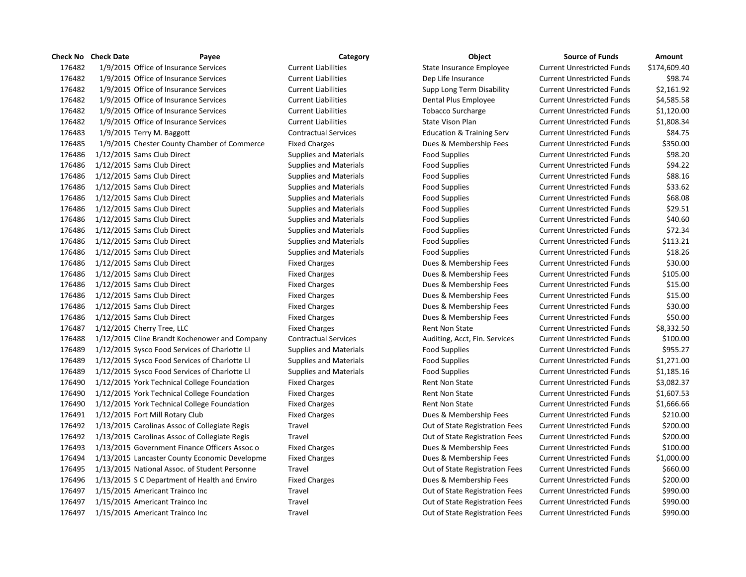|        | <b>Check No Check Date</b><br>Payee           | Category                      | <b>Object</b>                        | <b>Source of Funds</b>            | <b>Amount</b> |
|--------|-----------------------------------------------|-------------------------------|--------------------------------------|-----------------------------------|---------------|
| 176482 | 1/9/2015 Office of Insurance Services         | <b>Current Liabilities</b>    | <b>State Insurance Employee</b>      | <b>Current Unrestricted Funds</b> | \$174,609.40  |
| 176482 | 1/9/2015 Office of Insurance Services         | <b>Current Liabilities</b>    | Dep Life Insurance                   | <b>Current Unrestricted Funds</b> | \$98.74       |
| 176482 | 1/9/2015 Office of Insurance Services         | <b>Current Liabilities</b>    | Supp Long Term Disability            | <b>Current Unrestricted Funds</b> | \$2,161.92    |
| 176482 | 1/9/2015 Office of Insurance Services         | <b>Current Liabilities</b>    | Dental Plus Employee                 | <b>Current Unrestricted Funds</b> | \$4,585.58    |
| 176482 | 1/9/2015 Office of Insurance Services         | <b>Current Liabilities</b>    | <b>Tobacco Surcharge</b>             | <b>Current Unrestricted Funds</b> | \$1,120.00    |
| 176482 | 1/9/2015 Office of Insurance Services         | <b>Current Liabilities</b>    | State Vison Plan                     | <b>Current Unrestricted Funds</b> | \$1,808.34    |
| 176483 | $1/9/2015$ Terry M. Baggott                   | <b>Contractual Services</b>   | <b>Education &amp; Training Serv</b> | <b>Current Unrestricted Funds</b> | \$84.75       |
| 176485 | 1/9/2015 Chester County Chamber of Commerce   | <b>Fixed Charges</b>          | Dues & Membership Fees               | <b>Current Unrestricted Funds</b> | \$350.00      |
| 176486 | 1/12/2015 Sams Club Direct                    | <b>Supplies and Materials</b> | <b>Food Supplies</b>                 | <b>Current Unrestricted Funds</b> | \$98.20       |
| 176486 | 1/12/2015 Sams Club Direct                    | <b>Supplies and Materials</b> | <b>Food Supplies</b>                 | <b>Current Unrestricted Funds</b> | \$94.22       |
| 176486 | 1/12/2015 Sams Club Direct                    | <b>Supplies and Materials</b> | <b>Food Supplies</b>                 | <b>Current Unrestricted Funds</b> | \$88.16       |
| 176486 | 1/12/2015 Sams Club Direct                    | <b>Supplies and Materials</b> | <b>Food Supplies</b>                 | <b>Current Unrestricted Funds</b> | \$33.62       |
| 176486 | 1/12/2015 Sams Club Direct                    | <b>Supplies and Materials</b> | <b>Food Supplies</b>                 | <b>Current Unrestricted Funds</b> | \$68.08       |
| 176486 | 1/12/2015 Sams Club Direct                    | <b>Supplies and Materials</b> | <b>Food Supplies</b>                 | <b>Current Unrestricted Funds</b> | \$29.51       |
| 176486 | 1/12/2015 Sams Club Direct                    | <b>Supplies and Materials</b> | <b>Food Supplies</b>                 | <b>Current Unrestricted Funds</b> | \$40.60       |
| 176486 | 1/12/2015 Sams Club Direct                    | <b>Supplies and Materials</b> | <b>Food Supplies</b>                 | <b>Current Unrestricted Funds</b> | \$72.34       |
| 176486 | 1/12/2015 Sams Club Direct                    | <b>Supplies and Materials</b> | <b>Food Supplies</b>                 | <b>Current Unrestricted Funds</b> | \$113.21      |
| 176486 | 1/12/2015 Sams Club Direct                    | <b>Supplies and Materials</b> | <b>Food Supplies</b>                 | <b>Current Unrestricted Funds</b> | \$18.26       |
| 176486 | 1/12/2015 Sams Club Direct                    | <b>Fixed Charges</b>          | Dues & Membership Fees               | <b>Current Unrestricted Funds</b> | \$30.00       |
| 176486 | 1/12/2015 Sams Club Direct                    | <b>Fixed Charges</b>          | Dues & Membership Fees               | <b>Current Unrestricted Funds</b> | \$105.00      |
| 176486 | 1/12/2015 Sams Club Direct                    | <b>Fixed Charges</b>          | Dues & Membership Fees               | <b>Current Unrestricted Funds</b> | \$15.00       |
| 176486 | 1/12/2015 Sams Club Direct                    | <b>Fixed Charges</b>          | Dues & Membership Fees               | <b>Current Unrestricted Funds</b> | \$15.00       |
| 176486 | 1/12/2015 Sams Club Direct                    | <b>Fixed Charges</b>          | Dues & Membership Fees               | <b>Current Unrestricted Funds</b> | \$30.00       |
| 176486 | 1/12/2015 Sams Club Direct                    | <b>Fixed Charges</b>          | Dues & Membership Fees               | <b>Current Unrestricted Funds</b> | \$50.00       |
| 176487 | 1/12/2015 Cherry Tree, LLC                    | <b>Fixed Charges</b>          | Rent Non State                       | <b>Current Unrestricted Funds</b> | \$8,332.50    |
| 176488 | 1/12/2015 Cline Brandt Kochenower and Company | <b>Contractual Services</b>   | Auditing, Acct, Fin. Services        | <b>Current Unrestricted Funds</b> | \$100.00      |
| 176489 | 1/12/2015 Sysco Food Services of Charlotte LI | <b>Supplies and Materials</b> | <b>Food Supplies</b>                 | <b>Current Unrestricted Funds</b> | \$955.27      |
| 176489 | 1/12/2015 Sysco Food Services of Charlotte LI | <b>Supplies and Materials</b> | <b>Food Supplies</b>                 | <b>Current Unrestricted Funds</b> | \$1,271.00    |
| 176489 | 1/12/2015 Sysco Food Services of Charlotte LI | <b>Supplies and Materials</b> | <b>Food Supplies</b>                 | <b>Current Unrestricted Funds</b> | \$1,185.16    |
| 176490 | 1/12/2015 York Technical College Foundation   | <b>Fixed Charges</b>          | <b>Rent Non State</b>                | <b>Current Unrestricted Funds</b> | \$3,082.37    |
| 176490 | 1/12/2015 York Technical College Foundation   | <b>Fixed Charges</b>          | Rent Non State                       | <b>Current Unrestricted Funds</b> | \$1,607.53    |
| 176490 | 1/12/2015 York Technical College Foundation   | <b>Fixed Charges</b>          | <b>Rent Non State</b>                | <b>Current Unrestricted Funds</b> | \$1,666.66    |
| 176491 | 1/12/2015 Fort Mill Rotary Club               | <b>Fixed Charges</b>          | Dues & Membership Fees               | <b>Current Unrestricted Funds</b> | \$210.00      |
| 176492 | 1/13/2015 Carolinas Assoc of Collegiate Regis | Travel                        | Out of State Registration Fees       | <b>Current Unrestricted Funds</b> | \$200.00      |
| 176492 | 1/13/2015 Carolinas Assoc of Collegiate Regis | Travel                        | Out of State Registration Fees       | <b>Current Unrestricted Funds</b> | \$200.00      |
| 176493 | 1/13/2015 Government Finance Officers Assoc o | <b>Fixed Charges</b>          | Dues & Membership Fees               | <b>Current Unrestricted Funds</b> | \$100.00      |
| 176494 | 1/13/2015 Lancaster County Economic Developme | <b>Fixed Charges</b>          | Dues & Membership Fees               | <b>Current Unrestricted Funds</b> | \$1,000.00    |
| 176495 | 1/13/2015 National Assoc. of Student Personne | Travel                        | Out of State Registration Fees       | <b>Current Unrestricted Funds</b> | \$660.00      |
| 176496 | 1/13/2015 S C Department of Health and Enviro | <b>Fixed Charges</b>          | Dues & Membership Fees               | <b>Current Unrestricted Funds</b> | \$200.00      |
| 176497 | 1/15/2015 Americant Trainco Inc               | Travel                        | Out of State Registration Fees       | <b>Current Unrestricted Funds</b> | \$990.00      |
| 176497 | 1/15/2015 Americant Trainco Inc               | Travel                        | Out of State Registration Fees       | <b>Current Unrestricted Funds</b> | \$990.00      |
| 176497 | 1/15/2015 Americant Trainco Inc               | Travel                        | Out of State Registration Fees       | <b>Current Unrestricted Funds</b> | \$990.00      |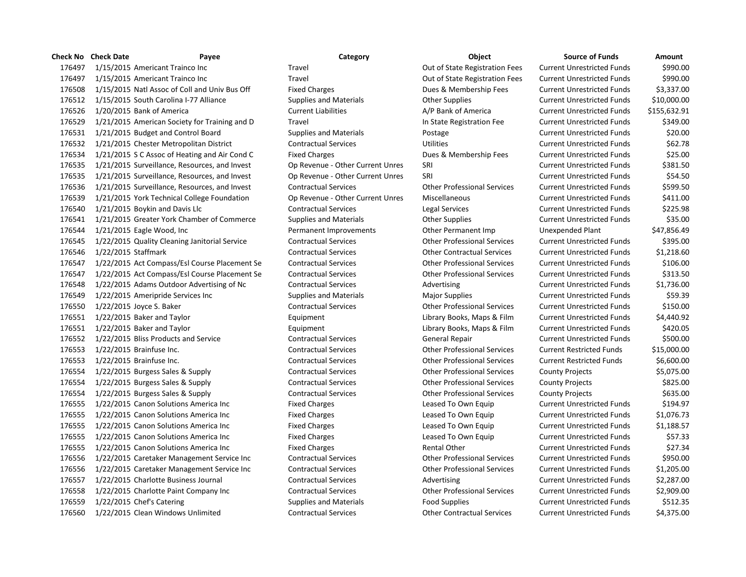|        | Check No Check Date        | Payee                                         | Category                         | Object                             | <b>Source of Funds</b>            | Amount       |
|--------|----------------------------|-----------------------------------------------|----------------------------------|------------------------------------|-----------------------------------|--------------|
| 176497 |                            | 1/15/2015 Americant Trainco Inc               | Travel                           | Out of State Registration Fees     | <b>Current Unrestricted Funds</b> | \$990.00     |
| 176497 |                            | 1/15/2015 Americant Trainco Inc               | Travel                           | Out of State Registration Fees     | <b>Current Unrestricted Funds</b> | \$990.00     |
| 176508 |                            | 1/15/2015 Natl Assoc of Coll and Univ Bus Off | <b>Fixed Charges</b>             | Dues & Membership Fees             | <b>Current Unrestricted Funds</b> | \$3,337.00   |
| 176512 |                            | 1/15/2015 South Carolina I-77 Alliance        | <b>Supplies and Materials</b>    | <b>Other Supplies</b>              | <b>Current Unrestricted Funds</b> | \$10,000.00  |
| 176526 | 1/20/2015 Bank of America  |                                               | <b>Current Liabilities</b>       | A/P Bank of America                | <b>Current Unrestricted Funds</b> | \$155,632.91 |
| 176529 |                            | 1/21/2015 American Society for Training and D | Travel                           | In State Registration Fee          | <b>Current Unrestricted Funds</b> | \$349.00     |
| 176531 |                            | 1/21/2015 Budget and Control Board            | <b>Supplies and Materials</b>    | Postage                            | <b>Current Unrestricted Funds</b> | \$20.00      |
| 176532 |                            | 1/21/2015 Chester Metropolitan District       | <b>Contractual Services</b>      | <b>Utilities</b>                   | <b>Current Unrestricted Funds</b> | \$62.78      |
| 176534 |                            | 1/21/2015 S C Assoc of Heating and Air Cond C | <b>Fixed Charges</b>             | Dues & Membership Fees             | <b>Current Unrestricted Funds</b> | \$25.00      |
| 176535 |                            | 1/21/2015 Surveillance, Resources, and Invest | Op Revenue - Other Current Unres | SRI                                | <b>Current Unrestricted Funds</b> | \$381.50     |
| 176535 |                            | 1/21/2015 Surveillance, Resources, and Invest | Op Revenue - Other Current Unres | SRI                                | <b>Current Unrestricted Funds</b> | \$54.50      |
| 176536 |                            | 1/21/2015 Surveillance, Resources, and Invest | <b>Contractual Services</b>      | <b>Other Professional Services</b> | <b>Current Unrestricted Funds</b> | \$599.50     |
| 176539 |                            | 1/21/2015 York Technical College Foundation   | Op Revenue - Other Current Unres | Miscellaneous                      | <b>Current Unrestricted Funds</b> | \$411.00     |
| 176540 |                            | 1/21/2015 Boykin and Davis Llc                | <b>Contractual Services</b>      | Legal Services                     | <b>Current Unrestricted Funds</b> | \$225.98     |
| 176541 |                            | 1/21/2015 Greater York Chamber of Commerce    | <b>Supplies and Materials</b>    | <b>Other Supplies</b>              | <b>Current Unrestricted Funds</b> | \$35.00      |
| 176544 | 1/21/2015 Eagle Wood, Inc. |                                               | Permanent Improvements           | Other Permanent Imp                | Unexpended Plant                  | \$47,856.49  |
| 176545 |                            | 1/22/2015 Quality Cleaning Janitorial Service | <b>Contractual Services</b>      | <b>Other Professional Services</b> | <b>Current Unrestricted Funds</b> | \$395.00     |
| 176546 | 1/22/2015 Staffmark        |                                               | <b>Contractual Services</b>      | <b>Other Contractual Services</b>  | <b>Current Unrestricted Funds</b> | \$1,218.60   |
| 176547 |                            | 1/22/2015 Act Compass/Esl Course Placement Se | <b>Contractual Services</b>      | <b>Other Professional Services</b> | <b>Current Unrestricted Funds</b> | \$106.00     |
| 176547 |                            | 1/22/2015 Act Compass/Esl Course Placement Se | <b>Contractual Services</b>      | <b>Other Professional Services</b> | <b>Current Unrestricted Funds</b> | \$313.50     |
| 176548 |                            | 1/22/2015 Adams Outdoor Advertising of Nc     | <b>Contractual Services</b>      | Advertising                        | <b>Current Unrestricted Funds</b> | \$1,736.00   |
| 176549 |                            | 1/22/2015 Ameripride Services Inc             | <b>Supplies and Materials</b>    | <b>Major Supplies</b>              | <b>Current Unrestricted Funds</b> | \$59.39      |
| 176550 | 1/22/2015 Joyce S. Baker   |                                               | <b>Contractual Services</b>      | <b>Other Professional Services</b> | <b>Current Unrestricted Funds</b> | \$150.00     |
| 176551 | 1/22/2015 Baker and Taylor |                                               | Equipment                        | Library Books, Maps & Film         | <b>Current Unrestricted Funds</b> | \$4,440.92   |
| 176551 | 1/22/2015 Baker and Taylor |                                               | Equipment                        | Library Books, Maps & Film         | <b>Current Unrestricted Funds</b> | \$420.05     |
| 176552 |                            | 1/22/2015 Bliss Products and Service          | <b>Contractual Services</b>      | General Repair                     | <b>Current Unrestricted Funds</b> | \$500.00     |
| 176553 | 1/22/2015 Brainfuse Inc.   |                                               | <b>Contractual Services</b>      | <b>Other Professional Services</b> | <b>Current Restricted Funds</b>   | \$15,000.00  |
| 176553 | 1/22/2015 Brainfuse Inc.   |                                               | <b>Contractual Services</b>      | <b>Other Professional Services</b> | <b>Current Restricted Funds</b>   | \$6,600.00   |
| 176554 |                            | 1/22/2015 Burgess Sales & Supply              | <b>Contractual Services</b>      | <b>Other Professional Services</b> | <b>County Projects</b>            | \$5,075.00   |
| 176554 |                            | 1/22/2015 Burgess Sales & Supply              | <b>Contractual Services</b>      | <b>Other Professional Services</b> | <b>County Projects</b>            | \$825.00     |
| 176554 |                            | 1/22/2015 Burgess Sales & Supply              | <b>Contractual Services</b>      | <b>Other Professional Services</b> | <b>County Projects</b>            | \$635.00     |
| 176555 |                            | 1/22/2015 Canon Solutions America Inc         | <b>Fixed Charges</b>             | Leased To Own Equip                | <b>Current Unrestricted Funds</b> | \$194.97     |
| 176555 |                            | 1/22/2015 Canon Solutions America Inc         | <b>Fixed Charges</b>             | Leased To Own Equip                | <b>Current Unrestricted Funds</b> | \$1,076.73   |
| 176555 |                            | 1/22/2015 Canon Solutions America Inc         | <b>Fixed Charges</b>             | Leased To Own Equip                | <b>Current Unrestricted Funds</b> | \$1,188.57   |
| 176555 |                            | 1/22/2015 Canon Solutions America Inc         | <b>Fixed Charges</b>             | Leased To Own Equip                | <b>Current Unrestricted Funds</b> | \$57.33      |
| 176555 |                            | 1/22/2015 Canon Solutions America Inc         | <b>Fixed Charges</b>             | <b>Rental Other</b>                | <b>Current Unrestricted Funds</b> | \$27.34      |
| 176556 |                            | 1/22/2015 Caretaker Management Service Inc    | <b>Contractual Services</b>      | <b>Other Professional Services</b> | <b>Current Unrestricted Funds</b> | \$950.00     |
| 176556 |                            | 1/22/2015 Caretaker Management Service Inc    | <b>Contractual Services</b>      | <b>Other Professional Services</b> | <b>Current Unrestricted Funds</b> | \$1,205.00   |
| 176557 |                            | 1/22/2015 Charlotte Business Journal          | <b>Contractual Services</b>      | Advertising                        | <b>Current Unrestricted Funds</b> | \$2,287.00   |
| 176558 |                            | 1/22/2015 Charlotte Paint Company Inc         | <b>Contractual Services</b>      | <b>Other Professional Services</b> | <b>Current Unrestricted Funds</b> | \$2,909.00   |
| 176559 | 1/22/2015 Chef's Catering  |                                               | <b>Supplies and Materials</b>    | <b>Food Supplies</b>               | <b>Current Unrestricted Funds</b> | \$512.35     |
| 176560 |                            | 1/22/2015 Clean Windows Unlimited             | <b>Contractual Services</b>      | <b>Other Contractual Services</b>  | <b>Current Unrestricted Funds</b> | \$4,375.00   |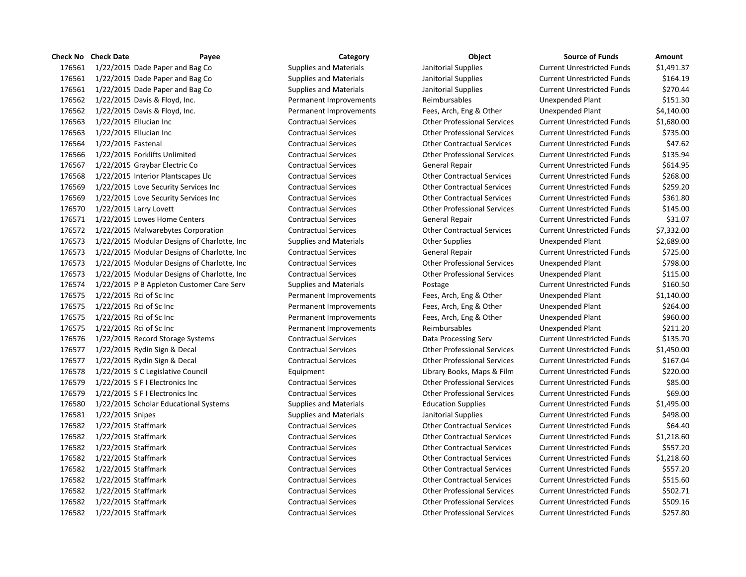| Check No | <b>Check Date</b>                            | Payee | Category                      | <b>Object</b>                      | <b>Source of Funds</b>            | Amount     |
|----------|----------------------------------------------|-------|-------------------------------|------------------------------------|-----------------------------------|------------|
| 176561   | 1/22/2015 Dade Paper and Bag Co              |       | <b>Supplies and Materials</b> | Janitorial Supplies                | <b>Current Unrestricted Funds</b> | \$1,491.37 |
| 176561   | 1/22/2015 Dade Paper and Bag Co              |       | <b>Supplies and Materials</b> | Janitorial Supplies                | <b>Current Unrestricted Funds</b> | \$164.19   |
| 176561   | 1/22/2015 Dade Paper and Bag Co              |       | <b>Supplies and Materials</b> | Janitorial Supplies                | <b>Current Unrestricted Funds</b> | \$270.44   |
| 176562   | 1/22/2015 Davis & Floyd, Inc.                |       | Permanent Improvements        | Reimbursables                      | Unexpended Plant                  | \$151.30   |
| 176562   | 1/22/2015 Davis & Floyd, Inc.                |       | Permanent Improvements        | Fees, Arch, Eng & Other            | Unexpended Plant                  | \$4,140.00 |
| 176563   | 1/22/2015 Ellucian Inc                       |       | <b>Contractual Services</b>   | <b>Other Professional Services</b> | <b>Current Unrestricted Funds</b> | \$1,680.00 |
| 176563   | 1/22/2015 Ellucian Inc                       |       | <b>Contractual Services</b>   | <b>Other Professional Services</b> | <b>Current Unrestricted Funds</b> | \$735.00   |
| 176564   | 1/22/2015 Fastenal                           |       | <b>Contractual Services</b>   | <b>Other Contractual Services</b>  | <b>Current Unrestricted Funds</b> | \$47.62    |
| 176566   | 1/22/2015 Forklifts Unlimited                |       | <b>Contractual Services</b>   | <b>Other Professional Services</b> | <b>Current Unrestricted Funds</b> | \$135.94   |
| 176567   | 1/22/2015 Graybar Electric Co                |       | <b>Contractual Services</b>   | General Repair                     | <b>Current Unrestricted Funds</b> | \$614.95   |
| 176568   | 1/22/2015 Interior Plantscapes Llc           |       | <b>Contractual Services</b>   | <b>Other Contractual Services</b>  | <b>Current Unrestricted Funds</b> | \$268.00   |
| 176569   | 1/22/2015 Love Security Services Inc         |       | <b>Contractual Services</b>   | <b>Other Contractual Services</b>  | <b>Current Unrestricted Funds</b> | \$259.20   |
| 176569   | 1/22/2015 Love Security Services Inc         |       | <b>Contractual Services</b>   | <b>Other Contractual Services</b>  | <b>Current Unrestricted Funds</b> | \$361.80   |
| 176570   | 1/22/2015 Larry Lovett                       |       | <b>Contractual Services</b>   | <b>Other Professional Services</b> | <b>Current Unrestricted Funds</b> | \$145.00   |
| 176571   | 1/22/2015 Lowes Home Centers                 |       | <b>Contractual Services</b>   | General Repair                     | <b>Current Unrestricted Funds</b> | \$31.07    |
| 176572   | 1/22/2015 Malwarebytes Corporation           |       | <b>Contractual Services</b>   | <b>Other Contractual Services</b>  | <b>Current Unrestricted Funds</b> | \$7,332.00 |
| 176573   | 1/22/2015 Modular Designs of Charlotte, Inc  |       | <b>Supplies and Materials</b> | <b>Other Supplies</b>              | Unexpended Plant                  | \$2,689.00 |
| 176573   | 1/22/2015 Modular Designs of Charlotte, Inc. |       | <b>Contractual Services</b>   | General Repair                     | <b>Current Unrestricted Funds</b> | \$725.00   |
| 176573   | 1/22/2015 Modular Designs of Charlotte, Inc  |       | <b>Contractual Services</b>   | <b>Other Professional Services</b> | Unexpended Plant                  | \$798.00   |
| 176573   | 1/22/2015 Modular Designs of Charlotte, Inc  |       | <b>Contractual Services</b>   | <b>Other Professional Services</b> | Unexpended Plant                  | \$115.00   |
| 176574   | 1/22/2015 P B Appleton Customer Care Serv    |       | <b>Supplies and Materials</b> | Postage                            | <b>Current Unrestricted Funds</b> | \$160.50   |
| 176575   | 1/22/2015 Rci of Sc Inc                      |       | Permanent Improvements        | Fees, Arch, Eng & Other            | Unexpended Plant                  | \$1,140.00 |
| 176575   | 1/22/2015 Rci of Sc Inc                      |       | Permanent Improvements        | Fees, Arch, Eng & Other            | Unexpended Plant                  | \$264.00   |
| 176575   | 1/22/2015 Rci of Sc Inc                      |       | Permanent Improvements        | Fees, Arch, Eng & Other            | Unexpended Plant                  | \$960.00   |
| 176575   | 1/22/2015 Rci of Sc Inc                      |       | Permanent Improvements        | Reimbursables                      | Unexpended Plant                  | \$211.20   |
| 176576   | 1/22/2015 Record Storage Systems             |       | <b>Contractual Services</b>   | Data Processing Serv               | <b>Current Unrestricted Funds</b> | \$135.70   |
| 176577   | 1/22/2015 Rydin Sign & Decal                 |       | <b>Contractual Services</b>   | <b>Other Professional Services</b> | <b>Current Unrestricted Funds</b> | \$1,450.00 |
| 176577   | 1/22/2015 Rydin Sign & Decal                 |       | <b>Contractual Services</b>   | <b>Other Professional Services</b> | <b>Current Unrestricted Funds</b> | \$167.04   |
| 176578   | 1/22/2015 S C Legislative Council            |       | Equipment                     | Library Books, Maps & Film         | <b>Current Unrestricted Funds</b> | \$220.00   |
| 176579   | 1/22/2015 S F I Electronics Inc              |       | <b>Contractual Services</b>   | <b>Other Professional Services</b> | <b>Current Unrestricted Funds</b> | \$85.00    |
| 176579   | 1/22/2015 S F I Electronics Inc              |       | <b>Contractual Services</b>   | <b>Other Professional Services</b> | <b>Current Unrestricted Funds</b> | \$69.00    |
| 176580   | 1/22/2015 Scholar Educational Systems        |       | <b>Supplies and Materials</b> | <b>Education Supplies</b>          | <b>Current Unrestricted Funds</b> | \$1,495.00 |
| 176581   | 1/22/2015 Snipes                             |       | <b>Supplies and Materials</b> | Janitorial Supplies                | <b>Current Unrestricted Funds</b> | \$498.00   |
| 176582   | 1/22/2015 Staffmark                          |       | <b>Contractual Services</b>   | <b>Other Contractual Services</b>  | <b>Current Unrestricted Funds</b> | \$64.40    |
| 176582   | 1/22/2015 Staffmark                          |       | <b>Contractual Services</b>   | <b>Other Contractual Services</b>  | <b>Current Unrestricted Funds</b> | \$1,218.60 |
| 176582   | 1/22/2015 Staffmark                          |       | <b>Contractual Services</b>   | <b>Other Contractual Services</b>  | <b>Current Unrestricted Funds</b> | \$557.20   |
| 176582   | 1/22/2015 Staffmark                          |       | <b>Contractual Services</b>   | <b>Other Contractual Services</b>  | <b>Current Unrestricted Funds</b> | \$1,218.60 |
| 176582   | 1/22/2015 Staffmark                          |       | <b>Contractual Services</b>   | <b>Other Contractual Services</b>  | <b>Current Unrestricted Funds</b> | \$557.20   |
| 176582   | 1/22/2015 Staffmark                          |       | <b>Contractual Services</b>   | <b>Other Contractual Services</b>  | <b>Current Unrestricted Funds</b> | \$515.60   |
| 176582   | 1/22/2015 Staffmark                          |       | <b>Contractual Services</b>   | <b>Other Professional Services</b> | <b>Current Unrestricted Funds</b> | \$502.71   |
| 176582   | 1/22/2015 Staffmark                          |       | <b>Contractual Services</b>   | <b>Other Professional Services</b> | <b>Current Unrestricted Funds</b> | \$509.16   |
| 176582   | 1/22/2015 Staffmark                          |       | <b>Contractual Services</b>   | <b>Other Professional Services</b> | <b>Current Unrestricted Funds</b> | \$257.80   |

| <b>Source of Funds</b>            | Amount     |
|-----------------------------------|------------|
| Current Unrestricted Funds        | \$1,491.37 |
| Current Unrestricted Funds        | \$164.19   |
| Current Unrestricted Funds        | \$270.44   |
| Unexpended Plant                  | \$151.30   |
| Unexpended Plant                  | \$4,140.00 |
| <b>Current Unrestricted Funds</b> | \$1,680.00 |
| <b>Current Unrestricted Funds</b> | \$735.00   |
| Current Unrestricted Funds        | \$47.62    |
| Current Unrestricted Funds        | \$135.94   |
| <b>Current Unrestricted Funds</b> | \$614.95   |
| Current Unrestricted Funds        | \$268.00   |
| Current Unrestricted Funds        | \$259.20   |
| Current Unrestricted Funds        | \$361.80   |
| <b>Current Unrestricted Funds</b> | \$145.00   |
| Current Unrestricted Funds        | \$31.07    |
| Current Unrestricted Funds        | \$7,332.00 |
| Unexpended Plant                  | \$2,689.00 |
| Current Unrestricted Funds        | \$725.00   |
| Unexpended Plant                  | \$798.00   |
| Unexpended Plant                  | \$115.00   |
| Current Unrestricted Funds        | \$160.50   |
| Unexpended Plant                  | \$1,140.00 |
| Unexpended Plant                  | \$264.00   |
| Unexpended Plant                  | \$960.00   |
| Unexpended Plant                  | \$211.20   |
| Current Unrestricted Funds        | \$135.70   |
| <b>Current Unrestricted Funds</b> | \$1,450.00 |
| Current Unrestricted Funds        | \$167.04   |
| Current Unrestricted Funds        | \$220.00   |
| Current Unrestricted Funds        | \$85.00    |
| Current Unrestricted Funds        | \$69.00    |
| Current Unrestricted Funds        | \$1,495.00 |
| Current Unrestricted Funds        | \$498.00   |
| Current Unrestricted Funds        | \$64.40    |
| Current Unrestricted Funds        | \$1,218.60 |
| <b>Current Unrestricted Funds</b> | \$557.20   |
| Current Unrestricted Funds        | \$1,218.60 |
| <b>Current Unrestricted Funds</b> | \$557.20   |
| Current Unrestricted Funds        | \$515.60   |
| <b>Current Unrestricted Funds</b> | \$502.71   |
| Current Unrestricted Funds        | \$509.16   |
| <b>Current Unrestricted Funds</b> | \$257.80   |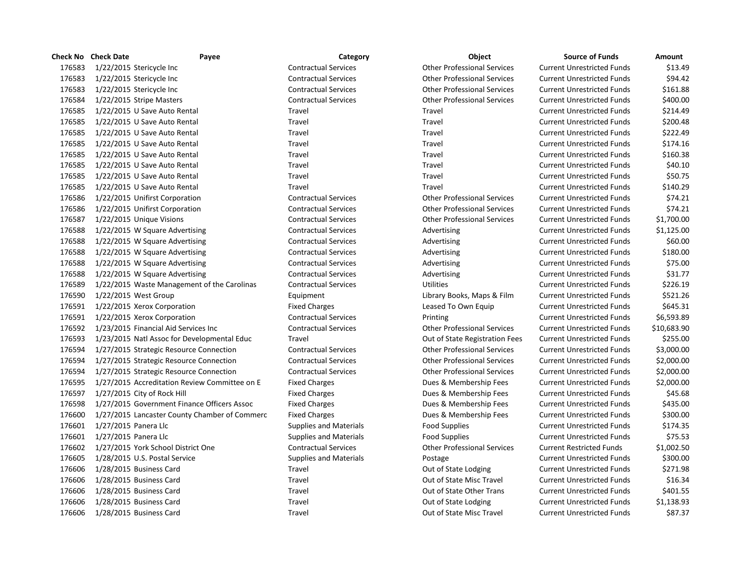|        | <b>Check No Check Date</b><br>Payee           | Category                      | Object                             | <b>Source of Funds</b>            | Amount      |
|--------|-----------------------------------------------|-------------------------------|------------------------------------|-----------------------------------|-------------|
| 176583 | 1/22/2015 Stericycle Inc                      | <b>Contractual Services</b>   | <b>Other Professional Services</b> | <b>Current Unrestricted Funds</b> | \$13.49     |
| 176583 | 1/22/2015 Stericycle Inc                      | <b>Contractual Services</b>   | <b>Other Professional Services</b> | <b>Current Unrestricted Funds</b> | \$94.42     |
| 176583 | 1/22/2015 Stericycle Inc                      | <b>Contractual Services</b>   | <b>Other Professional Services</b> | <b>Current Unrestricted Funds</b> | \$161.88    |
| 176584 | 1/22/2015 Stripe Masters                      | <b>Contractual Services</b>   | <b>Other Professional Services</b> | <b>Current Unrestricted Funds</b> | \$400.00    |
| 176585 | 1/22/2015 U Save Auto Rental                  | Travel                        | Travel                             | <b>Current Unrestricted Funds</b> | \$214.49    |
| 176585 | 1/22/2015 U Save Auto Rental                  | Travel                        | Travel                             | <b>Current Unrestricted Funds</b> | \$200.48    |
| 176585 | 1/22/2015 U Save Auto Rental                  | Travel                        | Travel                             | <b>Current Unrestricted Funds</b> | \$222.49    |
| 176585 | 1/22/2015 U Save Auto Rental                  | Travel                        | Travel                             | <b>Current Unrestricted Funds</b> | \$174.16    |
| 176585 | 1/22/2015 U Save Auto Rental                  | Travel                        | Travel                             | <b>Current Unrestricted Funds</b> | \$160.38    |
| 176585 | 1/22/2015 U Save Auto Rental                  | Travel                        | Travel                             | <b>Current Unrestricted Funds</b> | \$40.10     |
| 176585 | 1/22/2015 U Save Auto Rental                  | Travel                        | Travel                             | <b>Current Unrestricted Funds</b> | \$50.75     |
| 176585 | 1/22/2015 U Save Auto Rental                  | Travel                        | Travel                             | <b>Current Unrestricted Funds</b> | \$140.29    |
| 176586 | 1/22/2015 Unifirst Corporation                | <b>Contractual Services</b>   | <b>Other Professional Services</b> | <b>Current Unrestricted Funds</b> | \$74.21     |
| 176586 | 1/22/2015 Unifirst Corporation                | <b>Contractual Services</b>   | <b>Other Professional Services</b> | <b>Current Unrestricted Funds</b> | \$74.21     |
| 176587 | 1/22/2015 Unique Visions                      | <b>Contractual Services</b>   | <b>Other Professional Services</b> | <b>Current Unrestricted Funds</b> | \$1,700.00  |
| 176588 | 1/22/2015 W Square Advertising                | <b>Contractual Services</b>   | Advertising                        | <b>Current Unrestricted Funds</b> | \$1,125.00  |
| 176588 | 1/22/2015 W Square Advertising                | <b>Contractual Services</b>   | Advertising                        | <b>Current Unrestricted Funds</b> | \$60.00     |
| 176588 | 1/22/2015 W Square Advertising                | <b>Contractual Services</b>   | Advertising                        | <b>Current Unrestricted Funds</b> | \$180.00    |
| 176588 | 1/22/2015 W Square Advertising                | <b>Contractual Services</b>   | Advertising                        | <b>Current Unrestricted Funds</b> | \$75.00     |
| 176588 | 1/22/2015 W Square Advertising                | <b>Contractual Services</b>   | Advertising                        | <b>Current Unrestricted Funds</b> | \$31.77     |
| 176589 | 1/22/2015 Waste Management of the Carolinas   | <b>Contractual Services</b>   | <b>Utilities</b>                   | <b>Current Unrestricted Funds</b> | \$226.19    |
| 176590 | 1/22/2015 West Group                          | Equipment                     | Library Books, Maps & Film         | <b>Current Unrestricted Funds</b> | \$521.26    |
| 176591 | 1/22/2015 Xerox Corporation                   | <b>Fixed Charges</b>          | Leased To Own Equip                | <b>Current Unrestricted Funds</b> | \$645.31    |
| 176591 | 1/22/2015 Xerox Corporation                   | <b>Contractual Services</b>   | Printing                           | <b>Current Unrestricted Funds</b> | \$6,593.89  |
| 176592 | 1/23/2015 Financial Aid Services Inc          | <b>Contractual Services</b>   | <b>Other Professional Services</b> | <b>Current Unrestricted Funds</b> | \$10,683.90 |
| 176593 | 1/23/2015 Natl Assoc for Developmental Educ   | Travel                        | Out of State Registration Fees     | <b>Current Unrestricted Funds</b> | \$255.00    |
| 176594 | 1/27/2015 Strategic Resource Connection       | <b>Contractual Services</b>   | <b>Other Professional Services</b> | <b>Current Unrestricted Funds</b> | \$3,000.00  |
| 176594 | 1/27/2015 Strategic Resource Connection       | <b>Contractual Services</b>   | <b>Other Professional Services</b> | <b>Current Unrestricted Funds</b> | \$2,000.00  |
| 176594 | 1/27/2015 Strategic Resource Connection       | <b>Contractual Services</b>   | <b>Other Professional Services</b> | <b>Current Unrestricted Funds</b> | \$2,000.00  |
| 176595 | 1/27/2015 Accreditation Review Committee on E | <b>Fixed Charges</b>          | Dues & Membership Fees             | <b>Current Unrestricted Funds</b> | \$2,000.00  |
| 176597 | 1/27/2015 City of Rock Hill                   | <b>Fixed Charges</b>          | Dues & Membership Fees             | <b>Current Unrestricted Funds</b> | \$45.68     |
| 176598 | 1/27/2015 Government Finance Officers Assoc   | <b>Fixed Charges</b>          | Dues & Membership Fees             | <b>Current Unrestricted Funds</b> | \$435.00    |
| 176600 | 1/27/2015 Lancaster County Chamber of Commerc | <b>Fixed Charges</b>          | Dues & Membership Fees             | <b>Current Unrestricted Funds</b> | \$300.00    |
| 176601 | 1/27/2015 Panera Llc                          | <b>Supplies and Materials</b> | <b>Food Supplies</b>               | <b>Current Unrestricted Funds</b> | \$174.35    |
| 176601 | 1/27/2015 Panera Llc                          | <b>Supplies and Materials</b> | <b>Food Supplies</b>               | <b>Current Unrestricted Funds</b> | \$75.53     |
| 176602 | 1/27/2015 York School District One            | <b>Contractual Services</b>   | <b>Other Professional Services</b> | <b>Current Restricted Funds</b>   | \$1,002.50  |
| 176605 | 1/28/2015 U.S. Postal Service                 | <b>Supplies and Materials</b> | Postage                            | <b>Current Unrestricted Funds</b> | \$300.00    |
| 176606 | 1/28/2015 Business Card                       | Travel                        | Out of State Lodging               | <b>Current Unrestricted Funds</b> | \$271.98    |
| 176606 | 1/28/2015 Business Card                       | Travel                        | Out of State Misc Travel           | <b>Current Unrestricted Funds</b> | \$16.34     |
| 176606 | 1/28/2015 Business Card                       | Travel                        | Out of State Other Trans           | <b>Current Unrestricted Funds</b> | \$401.55    |
| 176606 | 1/28/2015 Business Card                       | Travel                        | Out of State Lodging               | <b>Current Unrestricted Funds</b> | \$1,138.93  |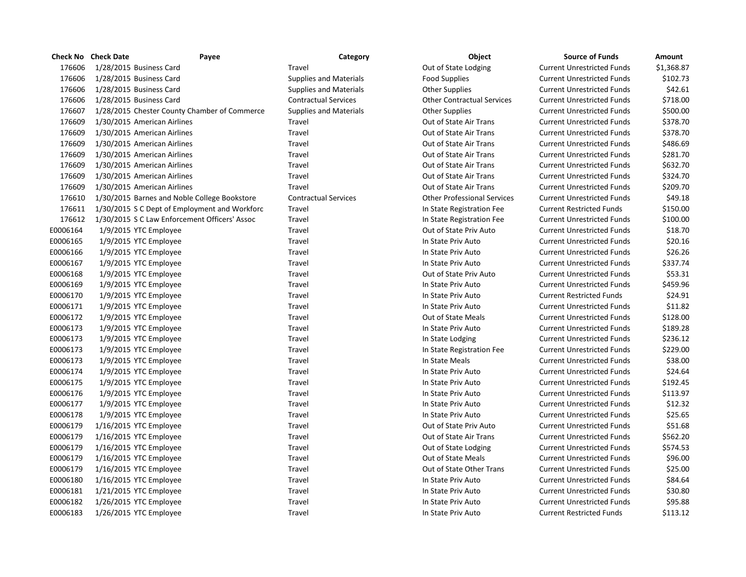|          | <b>Check No Check Date</b> | Payee                                         | Category                      | Object                             | <b>Source of Funds</b>            | <b>Amount</b> |
|----------|----------------------------|-----------------------------------------------|-------------------------------|------------------------------------|-----------------------------------|---------------|
| 176606   |                            | 1/28/2015 Business Card                       | Travel                        | Out of State Lodging               | <b>Current Unrestricted Funds</b> | \$1,368.87    |
| 176606   |                            | 1/28/2015 Business Card                       | <b>Supplies and Materials</b> | <b>Food Supplies</b>               | <b>Current Unrestricted Funds</b> | \$102.73      |
| 176606   |                            | 1/28/2015 Business Card                       | <b>Supplies and Materials</b> | <b>Other Supplies</b>              | <b>Current Unrestricted Funds</b> | \$42.61       |
| 176606   |                            | 1/28/2015 Business Card                       | <b>Contractual Services</b>   | <b>Other Contractual Services</b>  | <b>Current Unrestricted Funds</b> | \$718.00      |
| 176607   |                            | 1/28/2015 Chester County Chamber of Commerce  | <b>Supplies and Materials</b> | <b>Other Supplies</b>              | <b>Current Unrestricted Funds</b> | \$500.00      |
| 176609   |                            | 1/30/2015 American Airlines                   | Travel                        | Out of State Air Trans             | <b>Current Unrestricted Funds</b> | \$378.70      |
| 176609   |                            | 1/30/2015 American Airlines                   | Travel                        | Out of State Air Trans             | <b>Current Unrestricted Funds</b> | \$378.70      |
| 176609   |                            | 1/30/2015 American Airlines                   | Travel                        | Out of State Air Trans             | <b>Current Unrestricted Funds</b> | \$486.69      |
| 176609   |                            | 1/30/2015 American Airlines                   | Travel                        | Out of State Air Trans             | <b>Current Unrestricted Funds</b> | \$281.70      |
| 176609   |                            | 1/30/2015 American Airlines                   | Travel                        | Out of State Air Trans             | <b>Current Unrestricted Funds</b> | \$632.70      |
| 176609   |                            | 1/30/2015 American Airlines                   | Travel                        | <b>Out of State Air Trans</b>      | <b>Current Unrestricted Funds</b> | \$324.70      |
| 176609   |                            | 1/30/2015 American Airlines                   | Travel                        | Out of State Air Trans             | <b>Current Unrestricted Funds</b> | \$209.70      |
| 176610   |                            | 1/30/2015 Barnes and Noble College Bookstore  | <b>Contractual Services</b>   | <b>Other Professional Services</b> | <b>Current Unrestricted Funds</b> | \$49.18       |
| 176611   |                            | 1/30/2015 S C Dept of Employment and Workforc | Travel                        | In State Registration Fee          | <b>Current Restricted Funds</b>   | \$150.00      |
| 176612   |                            | 1/30/2015 S C Law Enforcement Officers' Assoc | Travel                        | In State Registration Fee          | <b>Current Unrestricted Funds</b> | \$100.00      |
| E0006164 |                            | 1/9/2015 YTC Employee                         | Travel                        | Out of State Priv Auto             | <b>Current Unrestricted Funds</b> | \$18.70       |
| E0006165 |                            | 1/9/2015 YTC Employee                         | Travel                        | In State Priv Auto                 | <b>Current Unrestricted Funds</b> | \$20.16       |
| E0006166 |                            | 1/9/2015 YTC Employee                         | Travel                        | In State Priv Auto                 | <b>Current Unrestricted Funds</b> | \$26.26       |
| E0006167 |                            | 1/9/2015 YTC Employee                         | Travel                        | In State Priv Auto                 | <b>Current Unrestricted Funds</b> | \$337.74      |
| E0006168 |                            | 1/9/2015 YTC Employee                         | Travel                        | Out of State Priv Auto             | <b>Current Unrestricted Funds</b> | \$53.31       |
| E0006169 |                            | 1/9/2015 YTC Employee                         | Travel                        | In State Priv Auto                 | <b>Current Unrestricted Funds</b> | \$459.96      |
| E0006170 |                            | 1/9/2015 YTC Employee                         | Travel                        | In State Priv Auto                 | <b>Current Restricted Funds</b>   | \$24.91       |
| E0006171 |                            | 1/9/2015 YTC Employee                         | Travel                        | In State Priv Auto                 | <b>Current Unrestricted Funds</b> | \$11.82       |
| E0006172 |                            | 1/9/2015 YTC Employee                         | Travel                        | Out of State Meals                 | <b>Current Unrestricted Funds</b> | \$128.00      |
| E0006173 |                            | 1/9/2015 YTC Employee                         | Travel                        | In State Priv Auto                 | <b>Current Unrestricted Funds</b> | \$189.28      |
| E0006173 |                            | 1/9/2015 YTC Employee                         | Travel                        | In State Lodging                   | <b>Current Unrestricted Funds</b> | \$236.12      |
| E0006173 |                            | 1/9/2015 YTC Employee                         | Travel                        | In State Registration Fee          | <b>Current Unrestricted Funds</b> | \$229.00      |
| E0006173 |                            | 1/9/2015 YTC Employee                         | Travel                        | In State Meals                     | <b>Current Unrestricted Funds</b> | \$38.00       |
| E0006174 |                            | 1/9/2015 YTC Employee                         | Travel                        | In State Priv Auto                 | <b>Current Unrestricted Funds</b> | \$24.64       |
| E0006175 |                            | 1/9/2015 YTC Employee                         | Travel                        | In State Priv Auto                 | <b>Current Unrestricted Funds</b> | \$192.45      |
| E0006176 |                            | 1/9/2015 YTC Employee                         | Travel                        | In State Priv Auto                 | <b>Current Unrestricted Funds</b> | \$113.97      |
| E0006177 |                            | 1/9/2015 YTC Employee                         | Travel                        | In State Priv Auto                 | <b>Current Unrestricted Funds</b> | \$12.32       |
| E0006178 |                            | 1/9/2015 YTC Employee                         | Travel                        | In State Priv Auto                 | <b>Current Unrestricted Funds</b> | \$25.65       |
| E0006179 |                            | $1/16/2015$ YTC Employee                      | Travel                        | Out of State Priv Auto             | <b>Current Unrestricted Funds</b> | \$51.68       |
| E0006179 |                            | $1/16/2015$ YTC Employee                      | Travel                        | Out of State Air Trans             | <b>Current Unrestricted Funds</b> | \$562.20      |
| E0006179 |                            | 1/16/2015 YTC Employee                        | Travel                        | Out of State Lodging               | <b>Current Unrestricted Funds</b> | \$574.53      |
| E0006179 |                            | 1/16/2015 YTC Employee                        | Travel                        | Out of State Meals                 | <b>Current Unrestricted Funds</b> | \$96.00       |
| E0006179 |                            | $1/16/2015$ YTC Employee                      | Travel                        | Out of State Other Trans           | <b>Current Unrestricted Funds</b> | \$25.00       |
| E0006180 |                            | 1/16/2015 YTC Employee                        | Travel                        | In State Priv Auto                 | <b>Current Unrestricted Funds</b> | \$84.64       |
| E0006181 |                            | 1/21/2015 YTC Employee                        | Travel                        | In State Priv Auto                 | <b>Current Unrestricted Funds</b> | \$30.80       |
| E0006182 |                            | 1/26/2015 YTC Employee                        | Travel                        | In State Priv Auto                 | <b>Current Unrestricted Funds</b> | \$95.88       |
| E0006183 |                            | 1/26/2015 YTC Employee                        | Travel                        | In State Priv Auto                 | <b>Current Restricted Funds</b>   | \$113.12      |